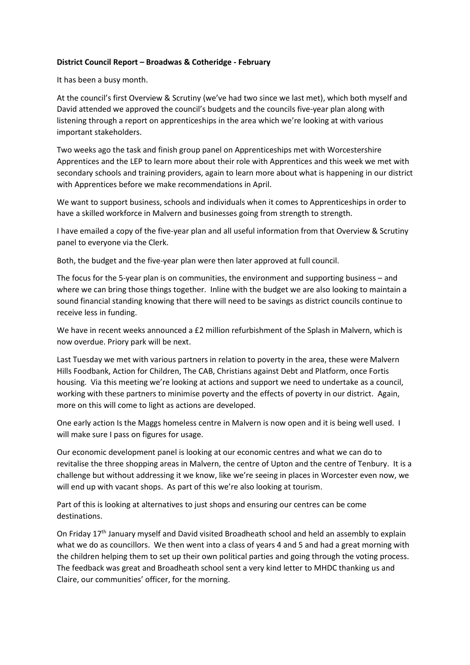## **District Council Report – Broadwas & Cotheridge - February**

It has been a busy month.

At the council's first Overview & Scrutiny (we've had two since we last met), which both myself and David attended we approved the council's budgets and the councils five-year plan along with listening through a report on apprenticeships in the area which we're looking at with various important stakeholders.

Two weeks ago the task and finish group panel on Apprenticeships met with Worcestershire Apprentices and the LEP to learn more about their role with Apprentices and this week we met with secondary schools and training providers, again to learn more about what is happening in our district with Apprentices before we make recommendations in April.

We want to support business, schools and individuals when it comes to Apprenticeships in order to have a skilled workforce in Malvern and businesses going from strength to strength.

I have emailed a copy of the five-year plan and all useful information from that Overview & Scrutiny panel to everyone via the Clerk.

Both, the budget and the five-year plan were then later approved at full council.

The focus for the 5-year plan is on communities, the environment and supporting business – and where we can bring those things together. Inline with the budget we are also looking to maintain a sound financial standing knowing that there will need to be savings as district councils continue to receive less in funding.

We have in recent weeks announced a £2 million refurbishment of the Splash in Malvern, which is now overdue. Priory park will be next.

Last Tuesday we met with various partners in relation to poverty in the area, these were Malvern Hills Foodbank, Action for Children, The CAB, Christians against Debt and Platform, once Fortis housing. Via this meeting we're looking at actions and support we need to undertake as a council, working with these partners to minimise poverty and the effects of poverty in our district. Again, more on this will come to light as actions are developed.

One early action Is the Maggs homeless centre in Malvern is now open and it is being well used. I will make sure I pass on figures for usage.

Our economic development panel is looking at our economic centres and what we can do to revitalise the three shopping areas in Malvern, the centre of Upton and the centre of Tenbury. It is a challenge but without addressing it we know, like we're seeing in places in Worcester even now, we will end up with vacant shops. As part of this we're also looking at tourism.

Part of this is looking at alternatives to just shops and ensuring our centres can be come destinations.

On Friday 17<sup>th</sup> January myself and David visited Broadheath school and held an assembly to explain what we do as councillors. We then went into a class of years 4 and 5 and had a great morning with the children helping them to set up their own political parties and going through the voting process. The feedback was great and Broadheath school sent a very kind letter to MHDC thanking us and Claire, our communities' officer, for the morning.